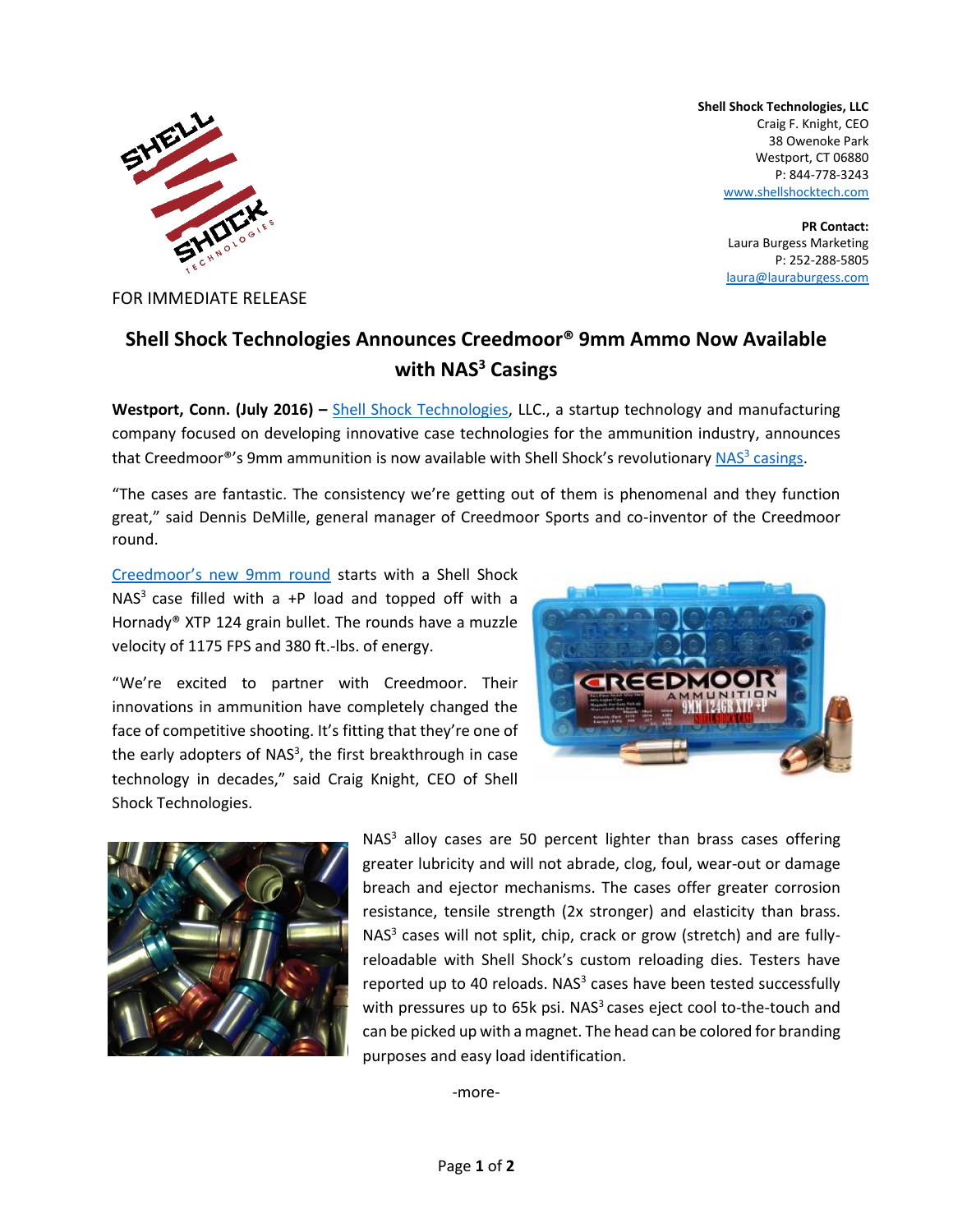

FOR IMMEDIATE RELEASE

**Shell Shock Technologies, LLC** Craig F. Knight, CEO 38 Owenoke Park Westport, CT 06880 P: 844-778-3243 [www.shellshocktech.com](http://www.shellshocktech.com/)

> **PR Contact:** Laura Burgess Marketing P: 252-288-5805 [laura@lauraburgess.com](mailto:laura@lauraburgess.com)

## **Shell Shock Technologies Announces Creedmoor® 9mm Ammo Now Available with NAS<sup>3</sup> Casings**

**Westport, Conn. (July 2016) –** [Shell Shock Technologies,](http://www.shellshocktech.com/) LLC., a startup technology and manufacturing company focused on developing innovative case technologies for the ammunition industry, announces that Creedmoor<sup>®</sup>'s 9mm ammunition is now available with Shell Shock's revolutionary NAS<sup>3</sup> [casings.](http://www.shellshocktech.com/#!technology/cjg9)

"The cases are fantastic. The consistency we're getting out of them is phenomenal and they function great," said Dennis DeMille, general manager of Creedmoor Sports and co-inventor of the Creedmoor round.

[Creedmoor's new 9mm round](https://www.creedmoorammo.com/shop/product_display.php?id2=7685952) starts with a Shell Shock  $NAS<sup>3</sup>$  case filled with a +P load and topped off with a Hornady® XTP 124 grain bullet. The rounds have a muzzle velocity of 1175 FPS and 380 ft.-lbs. of energy.

"We're excited to partner with Creedmoor. Their innovations in ammunition have completely changed the face of competitive shooting. It's fitting that they're one of the early adopters of NAS<sup>3</sup>, the first breakthrough in case technology in decades," said Craig Knight, CEO of Shell Shock Technologies.





 $NAS<sup>3</sup>$  alloy cases are 50 percent lighter than brass cases offering greater lubricity and will not abrade, clog, foul, wear-out or damage breach and ejector mechanisms. The cases offer greater corrosion resistance, tensile strength (2x stronger) and elasticity than brass. NAS<sup>3</sup> cases will not split, chip, crack or grow (stretch) and are fullyreloadable with Shell Shock's custom reloading dies. Testers have reported up to 40 reloads. NAS $3$  cases have been tested successfully with pressures up to 65 $k$  psi. NAS<sup>3</sup> cases eject cool to-the-touch and can be picked up with a magnet. The head can be colored for branding purposes and easy load identification.

-more-